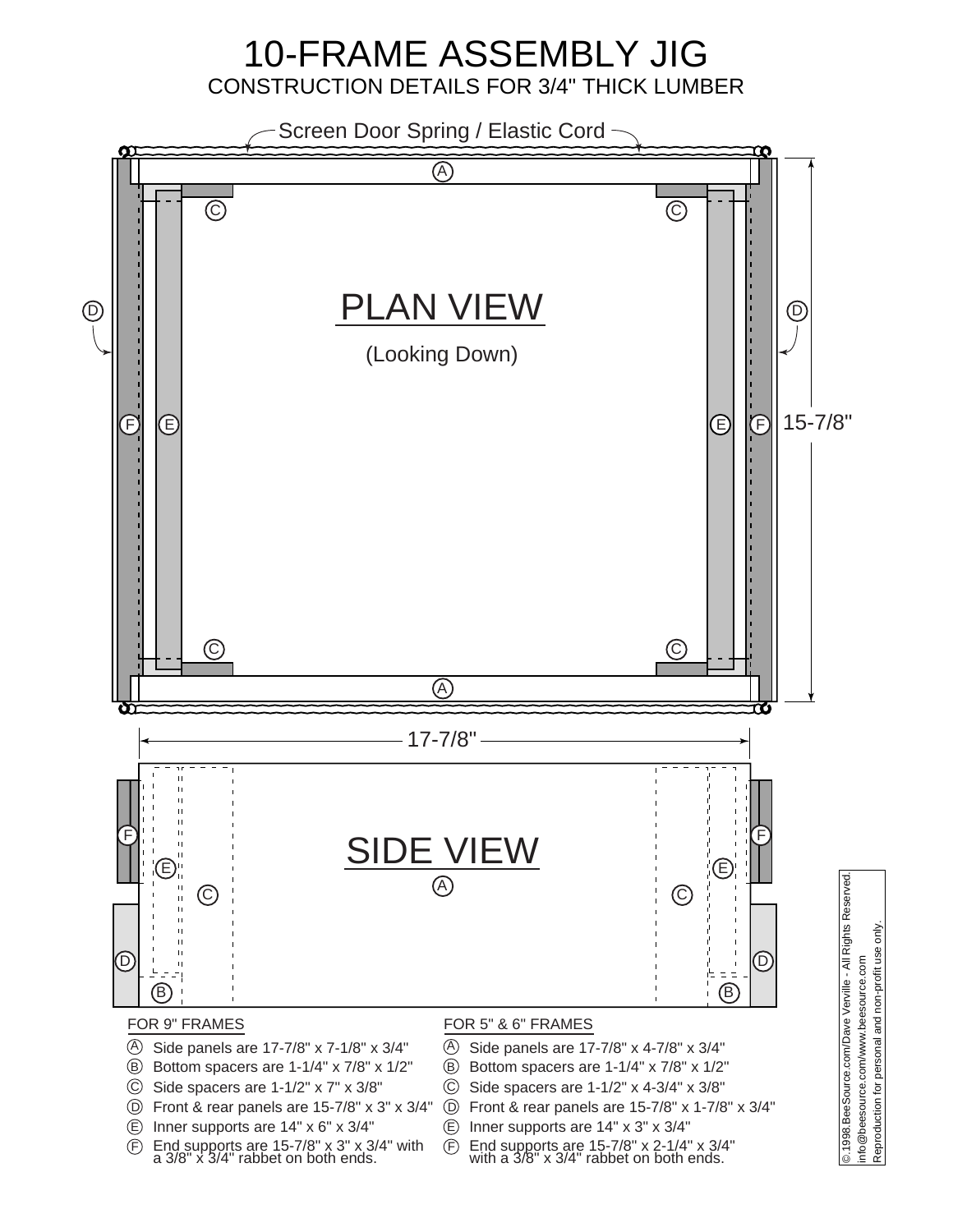## 10-FRAME ASSEMBLY JIG CONSTRUCTION DETAILS FOR 3/4" THICK LUMBER



- D Front & rear panels are 15-7/8" x 3" x 3/4"
- E Inner supports are 14" x 6" x 3/4"
- F End supports are 15-7/8" x 3" x 3/4" with a 3/8" x 3/4" rabbet on both ends.
- C Side spacers are 1-1/2" x 4-3/4" x 3/8"
- D Front & rear panels are 15-7/8" x 1-7/8" x 3/4"
- E Inner supports are 14" x 3" x 3/4"
- $^{\circledR}$ End supports are 15-7/8" x 2-1/4" x 3/4" with a 3/8" x 3/4" rabbet on both ends.

Reproduction for personal and non-profit use only. Reproduction for personal and non-profit use only info@beesource.com/www.beesource.com info@beesource.com/www.beesource.com